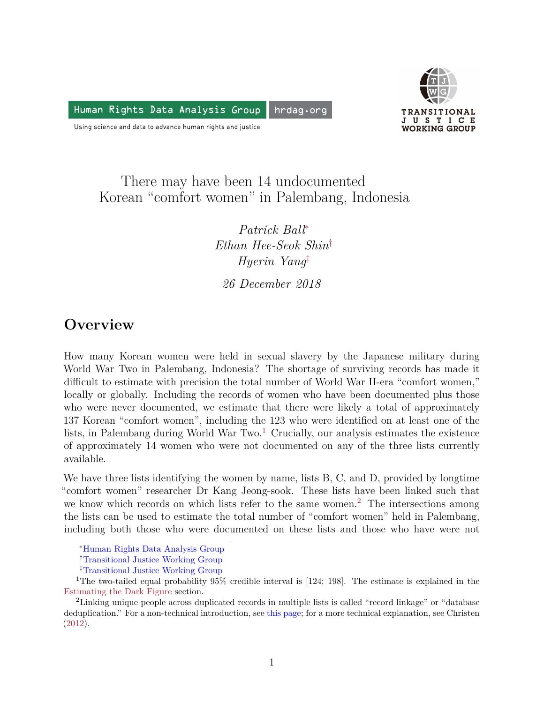Human Rights Data Analysis Group hrdag.org



Using science and data to advance human rights and justice

## There may have been 14 undocumented Korean "comfort women" in Palembang, Indonesia

*Patrick Ball*[∗](#page-0-0) *Ethan Hee-Seok Shin*[†](#page-0-1) *Hyerin Yang*[‡](#page-0-2) *26 December 2018*

# **Overview**

How many Korean women were held in sexual slavery by the Japanese military during World War Two in Palembang, Indonesia? The shortage of surviving records has made it difficult to estimate with precision the total number of World War II-era "comfort women," locally or globally. Including the records of women who have been documented plus those who were never documented, we estimate that there were likely a total of approximately 137 Korean "comfort women", including the 123 who were identified on at least one of the lists, in Palembang during World War Two.<sup>[1](#page-0-3)</sup> Crucially, our analysis estimates the existence of approximately 14 women who were not documented on any of the three lists currently available.

We have three lists identifying the women by name, lists B, C, and D, provided by longtime "comfort women" researcher Dr Kang Jeong-sook. These lists have been linked such that we know which records on which lists refer to the same women.<sup>[2](#page-0-4)</sup> The intersections among the lists can be used to estimate the total number of "comfort women" held in Palembang, including both those who were documented on these lists and those who have were not

<span id="page-0-0"></span><sup>∗</sup>[Human Rights Data Analysis Group](https://hrdag.org)

<span id="page-0-1"></span><sup>†</sup>[Transitional Justice Working Group](https://en.tjwg.org/)

<span id="page-0-3"></span><span id="page-0-2"></span><sup>‡</sup>[Transitional Justice Working Group](https://en.tjwg.org/)

<sup>1</sup>The two-tailed equal probability 95% credible interval is [124; 198]. The estimate is explained in the Estimating the Dark Figure section.

<span id="page-0-4"></span><sup>2</sup>Linking unique people across duplicated records in multiple lists is called "record linkage" or "database deduplication." For a non-technical introduction, see [this page;](https://hrdag.org/coreconcepts/) for a more technical explanation, see Christen ([2012\)](#page-5-0).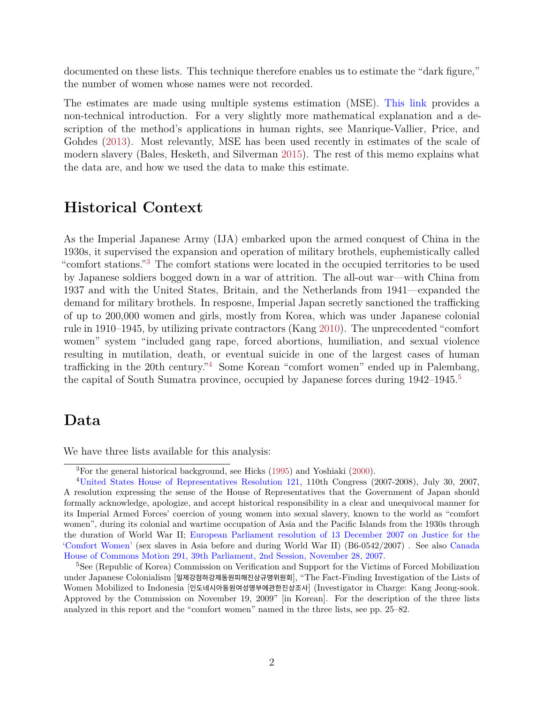documented on these lists. This technique therefore enables us to estimate the "dark figure," the number of women whose names were not recorded.

The estimates are made using multiple systems estimation (MSE). [This link](https://hrdag.org/coreconcepts/) provides a non-technical introduction. For a very slightly more mathematical explanation and a description of the method's applications in human rights, see Manrique-Vallier, Price, and Gohdes [\(2013\)](#page-5-1). Most relevantly, MSE has been used recently in estimates of the scale of modern slavery (Bales, Hesketh, and Silverman [2015](#page-5-2)). The rest of this memo explains what the data are, and how we used the data to make this estimate.

#### **Historical Context**

As the Imperial Japanese Army (IJA) embarked upon the armed conquest of China in the 1930s, it supervised the expansion and operation of military brothels, euphemistically called "comfort stations."[3](#page-1-0) The comfort stations were located in the occupied territories to be used by Japanese soldiers bogged down in a war of attrition. The all-out war—with China from 1937 and with the United States, Britain, and the Netherlands from 1941—expanded the demand for military brothels. In resposne, Imperial Japan secretly sanctioned the trafficking of up to 200,000 women and girls, mostly from Korea, which was under Japanese colonial rule in 1910–1945, by utilizing private contractors (Kang [2010\)](#page-5-3). The unprecedented "comfort women" system "included gang rape, forced abortions, humiliation, and sexual violence resulting in mutilation, death, or eventual suicide in one of the largest cases of human trafficking in the 20th century."[4](#page-1-1) Some Korean "comfort women" ended up in Palembang, the capital of South Sumatra province, occupied by Japanese forces during  $1942-1945$  $1942-1945$ .<sup>5</sup>

#### **Data**

We have three lists available for this analysis:

<span id="page-1-1"></span><span id="page-1-0"></span><sup>3</sup>For the general historical background, see Hicks ([1995\)](#page-5-4) and Yoshiaki [\(2000](#page-6-0)).

<sup>4</sup>[United States House of Representatives Resolution 121](https://www.congress.gov/bill/110th-congress/house-resolution/121/text), 110th Congress (2007-2008), July 30, 2007, A resolution expressing the sense of the House of Representatives that the Government of Japan should formally acknowledge, apologize, and accept historical responsibility in a clear and unequivocal manner for its Imperial Armed Forces' coercion of young women into sexual slavery, known to the world as "comfort women", during its colonial and wartime occupation of Asia and the Pacific Islands from the 1930s through the duration of World War II; [European Parliament resolution of 13 December 2007 on Justice for the](http://www.europarl.europa.eu/sides/getDoc.do?type=TA&reference=P6-TA-2007-0632&language=EN) ['Comfort Women'](http://www.europarl.europa.eu/sides/getDoc.do?type=TA&reference=P6-TA-2007-0632&language=EN) (sex slaves in Asia before and during World War II) (B6-0542/2007) . See also [Canada](http://www.ourcommons.ca/DocumentViewer/en/39-2/house/sitting-26/hansard#T1410) [House of Commons Motion 291, 39th Parliament, 2nd Session, November 28, 2007](http://www.ourcommons.ca/DocumentViewer/en/39-2/house/sitting-26/hansard#T1410).

<span id="page-1-2"></span><sup>5</sup>See (Republic of Korea) Commission on Verification and Support for the Victims of Forced Mobilization under Japanese Colonialism [일제강점하강제동원피해진상규명위원회], "The Fact-Finding Investigation of the Lists of Women Mobilized to Indonesia [인도네시아동원여성명부에관한진상조사] (Investigator in Charge: Kang Jeong-sook. Approved by the Commission on November 19, 2009" [in Korean]. For the description of the three lists analyzed in this report and the "comfort women" named in the three lists, see pp. 25–82.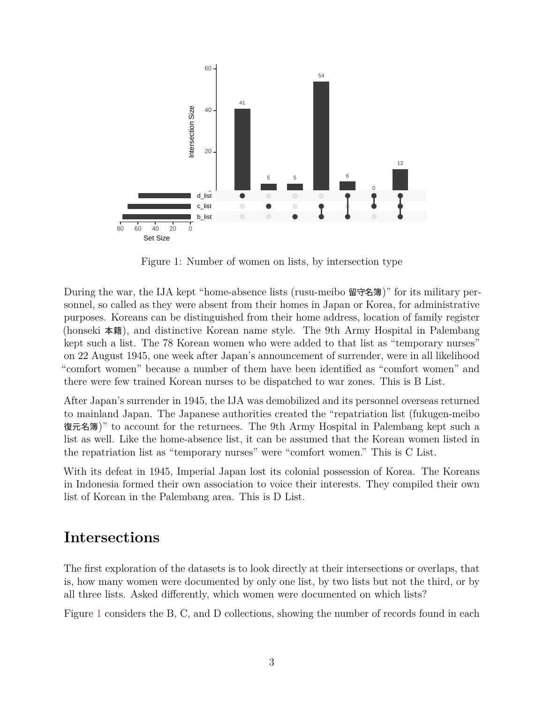

<span id="page-2-0"></span>Figure 1: Number of women on lists, by intersection type

During the war, the IJA kept "home-absence lists (rusu-meibo 留守名簿)" for its military personnel, so called as they were absent from their homes in Japan or Korea, for administrative purposes. Koreans can be distinguished from their home address, location of family register (honseki 本籍), and distinctive Korean name style. The 9th Army Hospital in Palembang kept such a list. The 78 Korean women who were added to that list as "temporary nurses" on 22 August 1945, one week after Japan's announcement of surrender, were in all likelihood "comfort women" because a number of them have been identified as "comfort women" and there were few trained Korean nurses to be dispatched to war zones. This is B List.

After Japan's surrender in 1945, the IJA was demobilized and its personnel overseas returned to mainland Japan. The Japanese authorities created the "repatriation list (fukugen-meibo 復元名簿)" to account for the returnees. The 9th Army Hospital in Palembang kept such a list as well. Like the home-absence list, it can be assumed that the Korean women listed in the repatriation list as "temporary nurses" were "comfort women." This is C List.

With its defeat in 1945, Imperial Japan lost its colonial possession of Korea. The Koreans in Indonesia formed their own association to voice their interests. They compiled their own list of Korean in the Palembang area. This is D List.

#### **Intersections**

The first exploration of the datasets is to look directly at their intersections or overlaps, that is, how many women were documented by only one list, by two lists but not the third, or by all three lists. Asked differently, which women were documented on which lists?

Figure [1](#page-2-0) considers the B, C, and D collections, showing the number of records found in each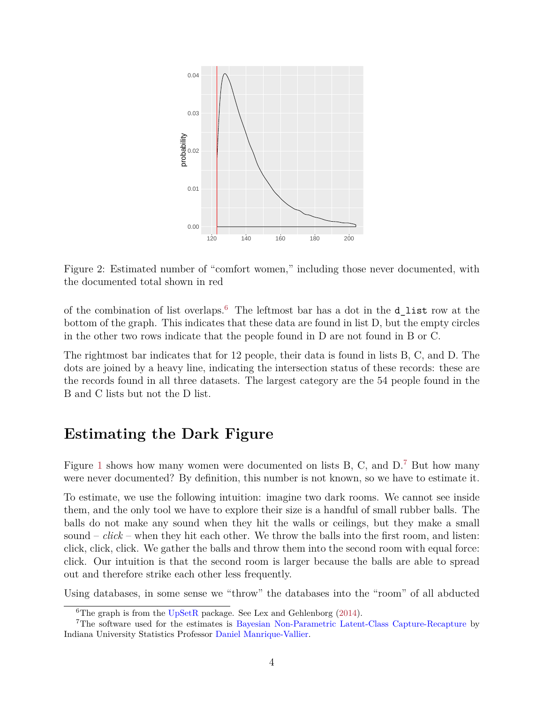

<span id="page-3-2"></span>Figure 2: Estimated number of "comfort women," including those never documented, with the documented total shown in red

of the combination of list overlaps.[6](#page-3-0) The leftmost bar has a dot in the d\_list row at the bottom of the graph. This indicates that these data are found in list D, but the empty circles in the other two rows indicate that the people found in D are not found in B or C.

The rightmost bar indicates that for 12 people, their data is found in lists B, C, and D. The dots are joined by a heavy line, indicating the intersection status of these records: these are the records found in all three datasets. The largest category are the 54 people found in the B and C lists but not the D list.

### **Estimating the Dark Figure**

Figure [1](#page-2-0) shows how many women were documented on lists B, C, and D.<sup>[7](#page-3-1)</sup> But how many were never documented? By definition, this number is not known, so we have to estimate it.

To estimate, we use the following intuition: imagine two dark rooms. We cannot see inside them, and the only tool we have to explore their size is a handful of small rubber balls. The balls do not make any sound when they hit the walls or ceilings, but they make a small sound  $-\textit{click}$  – when they hit each other. We throw the balls into the first room, and listen: click, click, click. We gather the balls and throw them into the second room with equal force: click. Our intuition is that the second room is larger because the balls are able to spread out and therefore strike each other less frequently.

Using databases, in some sense we "throw" the databases into the "room" of all abducted

<span id="page-3-1"></span><span id="page-3-0"></span><sup>&</sup>lt;sup>6</sup>The graph is from the  $UpSetR$  package. See Lex and Gehlenborg ([2014\)](#page-5-5).

<sup>7</sup>The software used for the estimates is [Bayesian Non-Parametric Latent-Class Capture-Recapture](https://cran.r-project.org/package=LCMCR) by Indiana University Statistics Professor [Daniel Manrique-Vallier](http://mypage.iu.edu/~dmanriqu/index.html).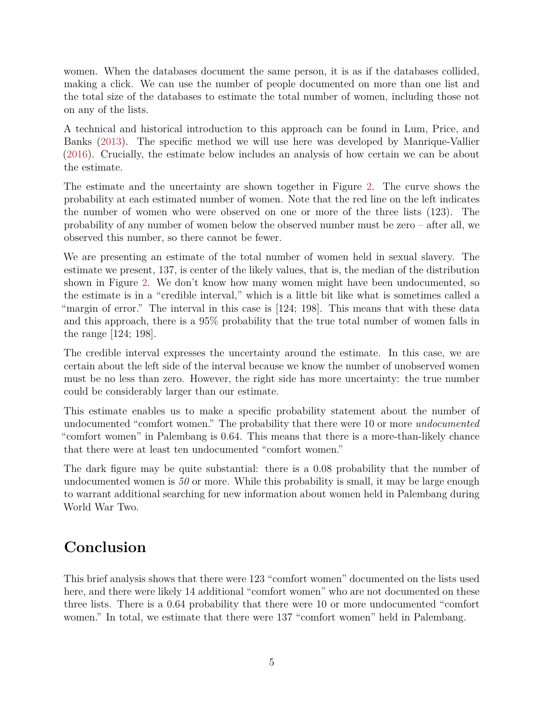women. When the databases document the same person, it is as if the databases collided, making a click. We can use the number of people documented on more than one list and the total size of the databases to estimate the total number of women, including those not on any of the lists.

A technical and historical introduction to this approach can be found in Lum, Price, and Banks [\(2013\)](#page-5-6). The specific method we will use here was developed by Manrique-Vallier [\(2016\)](#page-5-7). Crucially, the estimate below includes an analysis of how certain we can be about the estimate.

The estimate and the uncertainty are shown together in Figure [2](#page-3-2). The curve shows the probability at each estimated number of women. Note that the red line on the left indicates the number of women who were observed on one or more of the three lists (123). The probability of any number of women below the observed number must be zero  $-$  after all, we observed this number, so there cannot be fewer.

We are presenting an estimate of the total number of women held in sexual slavery. The estimate we present, 137, is center of the likely values, that is, the median of the distribution shown in Figure [2.](#page-3-2) We don't know how many women might have been undocumented, so the estimate is in a "credible interval," which is a little bit like what is sometimes called a "margin of error." The interval in this case is [124; 198]. This means that with these data and this approach, there is a 95% probability that the true total number of women falls in the range [124; 198].

The credible interval expresses the uncertainty around the estimate. In this case, we are certain about the left side of the interval because we know the number of unobserved women must be no less than zero. However, the right side has more uncertainty: the true number could be considerably larger than our estimate.

This estimate enables us to make a specific probability statement about the number of undocumented "comfort women." The probability that there were 10 or more *undocumented* "comfort women" in Palembang is 0.64. This means that there is a more-than-likely chance that there were at least ten undocumented "comfort women."

The dark figure may be quite substantial: there is a 0.08 probability that the number of undocumented women is *50* or more. While this probability is small, it may be large enough to warrant additional searching for new information about women held in Palembang during World War Two.

# **Conclusion**

This brief analysis shows that there were 123 "comfort women" documented on the lists used here, and there were likely 14 additional "comfort women" who are not documented on these three lists. There is a 0.64 probability that there were 10 or more undocumented "comfort women." In total, we estimate that there were 137 "comfort women" held in Palembang.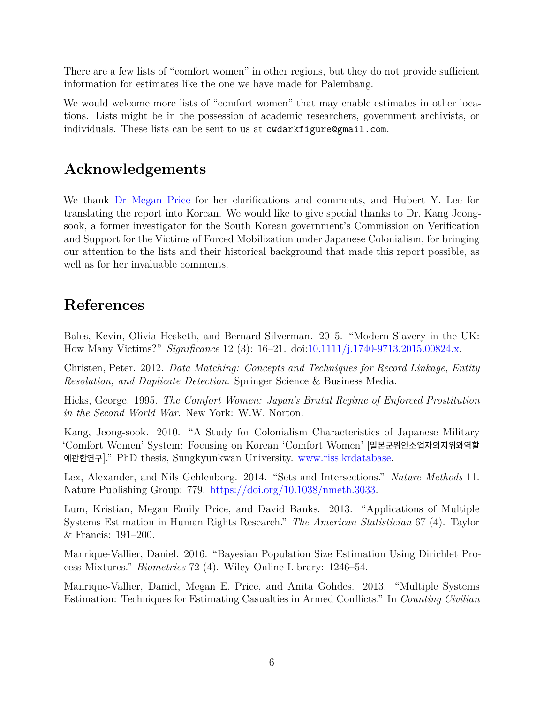There are a few lists of "comfort women" in other regions, but they do not provide sufficient information for estimates like the one we have made for Palembang.

We would welcome more lists of "comfort women" that may enable estimates in other locations. Lists might be in the possession of academic researchers, government archivists, or individuals. These lists can be sent to us at cwdarkfigure@gmail.com.

## **Acknowledgements**

We thank [Dr Megan Price](https://hrdag.org/people/megan-price-phd/) for her clarifications and comments, and Hubert Y. Lee for translating the report into Korean. We would like to give special thanks to Dr. Kang Jeongsook, a former investigator for the South Korean government's Commission on Verification and Support for the Victims of Forced Mobilization under Japanese Colonialism, for bringing our attention to the lists and their historical background that made this report possible, as well as for her invaluable comments.

### **References**

<span id="page-5-2"></span>Bales, Kevin, Olivia Hesketh, and Bernard Silverman. 2015. "Modern Slavery in the UK: How Many Victims?" *Significance* 12 (3): 16–21. doi:[10.1111/j.1740-9713.2015.00824.x](https://doi.org/10.1111/j.1740-9713.2015.00824.x).

<span id="page-5-0"></span>Christen, Peter. 2012. *Data Matching: Concepts and Techniques for Record Linkage, Entity Resolution, and Duplicate Detection*. Springer Science & Business Media.

<span id="page-5-4"></span>Hicks, George. 1995. *The Comfort Women: Japan's Brutal Regime of Enforced Prostitution in the Second World War*. New York: W.W. Norton.

<span id="page-5-3"></span>Kang, Jeong-sook. 2010. "A Study for Colonialism Characteristics of Japanese Military 'Comfort Women' System: Focusing on Korean 'Comfort Women' [일본군위안소업자의지위와역할 에관한연구]." PhD thesis, Sungkyunkwan University. <www.riss.krdatabase>.

<span id="page-5-5"></span>Lex, Alexander, and Nils Gehlenborg. 2014. "Sets and Intersections." *Nature Methods* 11. Nature Publishing Group: 779. [https://doi.org/10.1038/nmeth.3033.](https://doi.org/10.1038/nmeth.3033)

<span id="page-5-6"></span>Lum, Kristian, Megan Emily Price, and David Banks. 2013. "Applications of Multiple Systems Estimation in Human Rights Research." *The American Statistician* 67 (4). Taylor & Francis: 191–200.

<span id="page-5-7"></span>Manrique-Vallier, Daniel. 2016. "Bayesian Population Size Estimation Using Dirichlet Process Mixtures." *Biometrics* 72 (4). Wiley Online Library: 1246–54.

<span id="page-5-1"></span>Manrique-Vallier, Daniel, Megan E. Price, and Anita Gohdes. 2013. "Multiple Systems Estimation: Techniques for Estimating Casualties in Armed Conflicts." In *Counting Civilian*